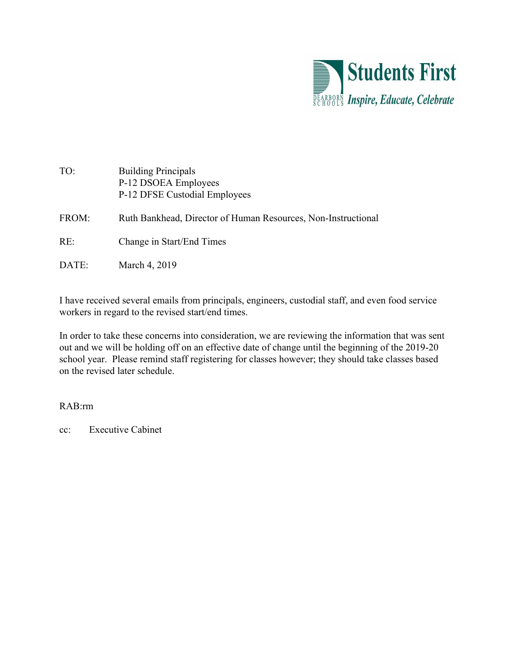

| TO:   | <b>Building Principals</b><br>P-12 DSOEA Employees<br>P-12 DFSE Custodial Employees |
|-------|-------------------------------------------------------------------------------------|
| FROM: | Ruth Bankhead, Director of Human Resources, Non-Instructional                       |
| RE:   | Change in Start/End Times                                                           |
| DATE: | March 4, 2019                                                                       |

I have received several emails from principals, engineers, custodial staff, and even food service workers in regard to the revised start/end times.

In order to take these concerns into consideration, we are reviewing the information that was sent out and we will be holding off on an effective date of change until the beginning of the 2019-20 school year. Please remind staff registering for classes however; they should take classes based on the revised later schedule.

RAB:rm

cc: Executive Cabinet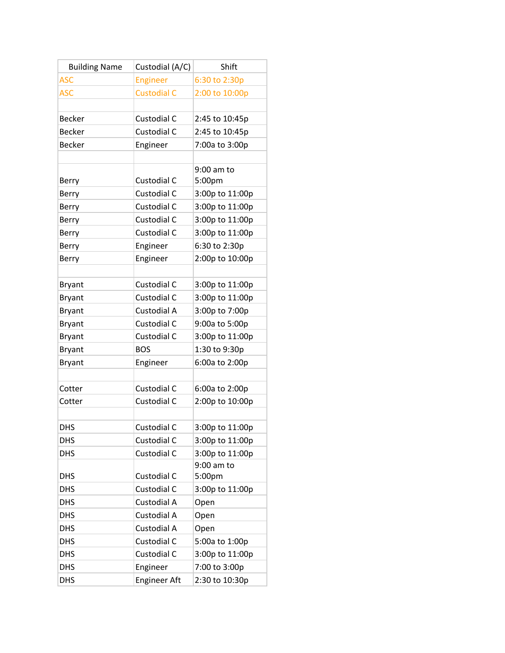| <b>Building Name</b> | Custodial (A/C)     | Shift           |
|----------------------|---------------------|-----------------|
| <b>ASC</b>           | Engineer            | 6:30 to 2:30p   |
| <b>ASC</b>           | <b>Custodial C</b>  | 2:00 to 10:00p  |
|                      |                     |                 |
| <b>Becker</b>        | Custodial C         | 2:45 to 10:45p  |
| <b>Becker</b>        | Custodial C         | 2:45 to 10:45p  |
| <b>Becker</b>        | Engineer            | 7:00a to 3:00p  |
|                      |                     |                 |
|                      |                     | 9:00 am to      |
| Berry                | Custodial C         | 5:00pm          |
| Berry                | Custodial C         | 3:00p to 11:00p |
| Berry                | Custodial C         | 3:00p to 11:00p |
| Berry                | Custodial C         | 3:00p to 11:00p |
| Berry                | Custodial C         | 3:00p to 11:00p |
| Berry                | Engineer            | 6:30 to 2:30p   |
| Berry                | Engineer            | 2:00p to 10:00p |
|                      |                     |                 |
| <b>Bryant</b>        | Custodial C         | 3:00p to 11:00p |
| <b>Bryant</b>        | Custodial C         | 3:00p to 11:00p |
| <b>Bryant</b>        | Custodial A         | 3:00p to 7:00p  |
| <b>Bryant</b>        | Custodial C         | 9:00a to 5:00p  |
| <b>Bryant</b>        | Custodial C         | 3:00p to 11:00p |
| <b>Bryant</b>        | <b>BOS</b>          | 1:30 to 9:30p   |
| <b>Bryant</b>        | Engineer            | 6:00a to 2:00p  |
|                      |                     |                 |
| Cotter               | Custodial C         | 6:00a to 2:00p  |
| Cotter               | Custodial C         | 2:00p to 10:00p |
|                      |                     |                 |
| <b>DHS</b>           | Custodial C         | 3:00p to 11:00p |
| <b>DHS</b>           | Custodial C         | 3:00p to 11:00p |
| <b>DHS</b>           | Custodial C         | 3:00p to 11:00p |
|                      |                     | 9:00 am to      |
| <b>DHS</b>           | Custodial C         | 5:00pm          |
| <b>DHS</b>           | Custodial C         | 3:00p to 11:00p |
| <b>DHS</b>           | Custodial A         | Open            |
| <b>DHS</b>           | Custodial A         | Open            |
| DHS                  | Custodial A         | Open            |
| <b>DHS</b>           | Custodial C         | 5:00a to 1:00p  |
| dhs                  | Custodial C         | 3:00p to 11:00p |
| DHS                  | Engineer            | 7:00 to 3:00p   |
| <b>DHS</b>           | <b>Engineer Aft</b> | 2:30 to 10:30p  |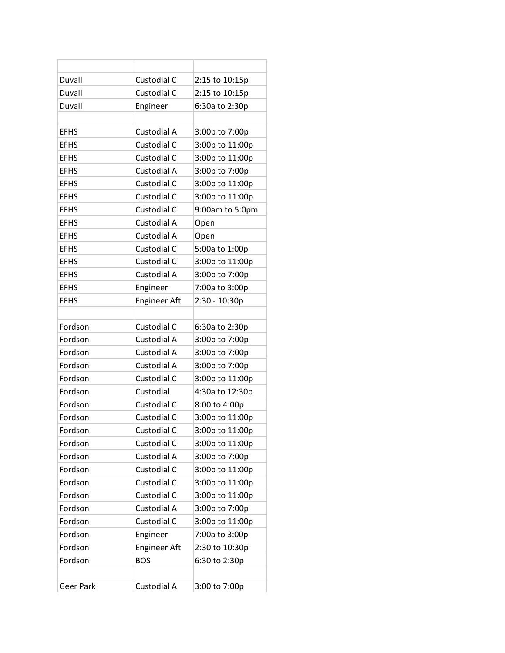| Duvall           | Custodial C         | 2:15 to 10:15p  |
|------------------|---------------------|-----------------|
| Duvall           | Custodial C         | 2:15 to 10:15p  |
| Duvall           | Engineer            | 6:30a to 2:30p  |
|                  |                     |                 |
| <b>EFHS</b>      | Custodial A         | 3:00p to 7:00p  |
| <b>EFHS</b>      | Custodial C         | 3:00p to 11:00p |
| <b>EFHS</b>      | Custodial C         | 3:00p to 11:00p |
| <b>EFHS</b>      | Custodial A         | 3:00p to 7:00p  |
| <b>EFHS</b>      | Custodial C         | 3:00p to 11:00p |
| <b>EFHS</b>      | Custodial C         | 3:00p to 11:00p |
| <b>EFHS</b>      | Custodial C         | 9:00am to 5:0pm |
| <b>EFHS</b>      | Custodial A         | Open            |
| <b>EFHS</b>      | Custodial A         | Open            |
| <b>EFHS</b>      | Custodial C         | 5:00a to 1:00p  |
| <b>EFHS</b>      | Custodial C         | 3:00p to 11:00p |
| <b>EFHS</b>      | Custodial A         | 3:00p to 7:00p  |
| <b>EFHS</b>      | Engineer            | 7:00a to 3:00p  |
| <b>EFHS</b>      | <b>Engineer Aft</b> | 2:30 - 10:30p   |
|                  |                     |                 |
| Fordson          | Custodial C         | 6:30a to 2:30p  |
| Fordson          | Custodial A         | 3:00p to 7:00p  |
| Fordson          | Custodial A         | 3:00p to 7:00p  |
| Fordson          | Custodial A         | 3:00p to 7:00p  |
| Fordson          | Custodial C         | 3:00p to 11:00p |
| Fordson          | Custodial           | 4:30a to 12:30p |
| Fordson          | Custodial C         | 8:00 to 4:00p   |
| Fordson          | Custodial C         | 3:00p to 11:00p |
| Fordson          | Custodial C         | 3:00p to 11:00p |
| Fordson          | Custodial C         | 3:00p to 11:00p |
| Fordson          | Custodial A         | 3:00p to 7:00p  |
| Fordson          | Custodial C         | 3:00p to 11:00p |
| Fordson          | Custodial C         | 3:00p to 11:00p |
| Fordson          | Custodial C         | 3:00p to 11:00p |
| Fordson          | Custodial A         | 3:00p to 7:00p  |
| Fordson          | Custodial C         | 3:00p to 11:00p |
| Fordson          | Engineer            | 7:00a to 3:00p  |
| Fordson          | <b>Engineer Aft</b> | 2:30 to 10:30p  |
| Fordson          | <b>BOS</b>          | 6:30 to 2:30p   |
|                  |                     |                 |
| <b>Geer Park</b> | Custodial A         | 3:00 to 7:00p   |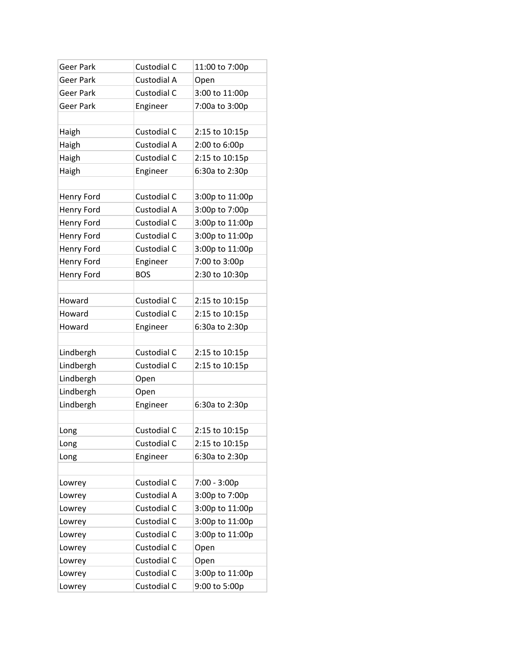| <b>Geer Park</b> | Custodial C | 11:00 to 7:00p  |
|------------------|-------------|-----------------|
| Geer Park        | Custodial A | Open            |
| <b>Geer Park</b> | Custodial C | 3:00 to 11:00p  |
| Geer Park        | Engineer    | 7:00a to 3:00p  |
|                  |             |                 |
| Haigh            | Custodial C | 2:15 to 10:15p  |
| Haigh            | Custodial A | 2:00 to 6:00p   |
| Haigh            | Custodial C | 2:15 to 10:15p  |
| Haigh            | Engineer    | 6:30a to 2:30p  |
|                  |             |                 |
| Henry Ford       | Custodial C | 3:00p to 11:00p |
| Henry Ford       | Custodial A | 3:00p to 7:00p  |
| Henry Ford       | Custodial C | 3:00p to 11:00p |
| Henry Ford       | Custodial C | 3:00p to 11:00p |
| Henry Ford       | Custodial C | 3:00p to 11:00p |
| Henry Ford       | Engineer    | 7:00 to 3:00p   |
| Henry Ford       | <b>BOS</b>  | 2:30 to 10:30p  |
|                  |             |                 |
| Howard           | Custodial C | 2:15 to 10:15p  |
| Howard           | Custodial C | 2:15 to 10:15p  |
| Howard           | Engineer    | 6:30a to 2:30p  |
|                  |             |                 |
| Lindbergh        | Custodial C | 2:15 to 10:15p  |
| Lindbergh        | Custodial C | 2:15 to 10:15p  |
| Lindbergh        | Open        |                 |
| Lindbergh        | Open        |                 |
| Lindbergh        | Engineer    | 6:30a to 2:30p  |
|                  |             |                 |
| Long             | Custodial C | 2:15 to 10:15p  |
| Long             | Custodial C | 2:15 to 10:15p  |
| Long             | Engineer    | 6:30a to 2:30p  |
|                  |             |                 |
| Lowrey           | Custodial C | 7:00 - 3:00p    |
| Lowrey           | Custodial A | 3:00p to 7:00p  |
| Lowrey           | Custodial C | 3:00p to 11:00p |
| Lowrey           | Custodial C | 3:00p to 11:00p |
| Lowrey           | Custodial C | 3:00p to 11:00p |
| Lowrey           | Custodial C | Open            |
| Lowrey           | Custodial C | Open            |
| Lowrey           | Custodial C | 3:00p to 11:00p |
| Lowrey           | Custodial C | 9:00 to 5:00p   |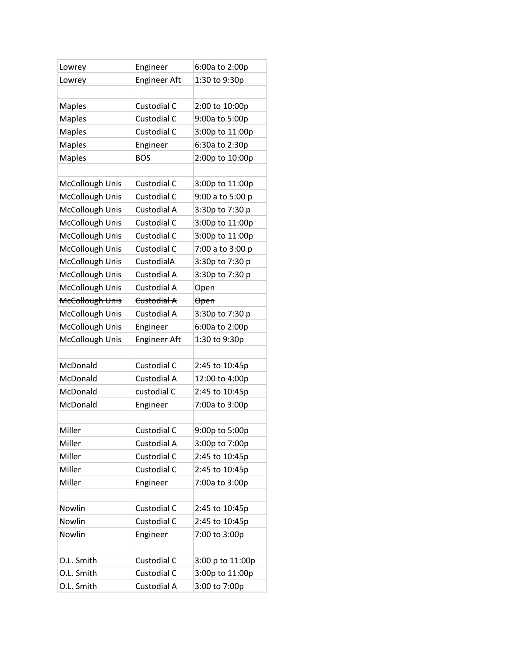| Lowrey                 | Engineer            | 6:00a to 2:00p   |
|------------------------|---------------------|------------------|
| Lowrey                 | <b>Engineer Aft</b> | 1:30 to 9:30p    |
|                        |                     |                  |
| <b>Maples</b>          | Custodial C         | 2:00 to 10:00p   |
| <b>Maples</b>          | Custodial C         | 9:00a to 5:00p   |
| <b>Maples</b>          | Custodial C         | 3:00p to 11:00p  |
| <b>Maples</b>          | Engineer            | 6:30a to 2:30p   |
| <b>Maples</b>          | <b>BOS</b>          | 2:00p to 10:00p  |
|                        |                     |                  |
| McCollough Unis        | Custodial C         | 3:00p to 11:00p  |
| McCollough Unis        | Custodial C         | 9:00 a to 5:00 p |
| McCollough Unis        | Custodial A         | 3:30p to 7:30 p  |
| McCollough Unis        | Custodial C         | 3:00p to 11:00p  |
| McCollough Unis        | Custodial C         | 3:00p to 11:00p  |
| McCollough Unis        | Custodial C         | 7:00 a to 3:00 p |
| McCollough Unis        | CustodialA          | 3:30p to 7:30 p  |
| McCollough Unis        | Custodial A         | 3:30p to 7:30 p  |
| McCollough Unis        | Custodial A         | Open             |
| <b>McCollough Unis</b> | Custodial A         | <b>Open</b>      |
| McCollough Unis        | Custodial A         | 3:30p to 7:30 p  |
| McCollough Unis        | Engineer            | 6:00a to 2:00p   |
| McCollough Unis        | <b>Engineer Aft</b> | 1:30 to 9:30p    |
|                        |                     |                  |
| McDonald               | Custodial C         | 2:45 to 10:45p   |
| McDonald               | Custodial A         | 12:00 to 4:00p   |
| McDonald               | custodial C         | 2:45 to 10:45p   |
| McDonald               | Engineer            | 7:00a to 3:00p   |
|                        |                     |                  |
| Miller                 | Custodial C         | 9:00p to 5:00p   |
| Miller                 | Custodial A         | 3:00p to 7:00p   |
| Miller                 | Custodial C         | 2:45 to 10:45p   |
| Miller                 | Custodial C         | 2:45 to 10:45p   |
| Miller                 | Engineer            | 7:00a to 3:00p   |
|                        |                     |                  |
| Nowlin                 | Custodial C         | 2:45 to 10:45p   |
| Nowlin                 | Custodial C         | 2:45 to 10:45p   |
| Nowlin                 | Engineer            | 7:00 to 3:00p    |
|                        |                     |                  |
| O.L. Smith             | Custodial C         | 3:00 p to 11:00p |
| O.L. Smith             | Custodial C         | 3:00p to 11:00p  |
| O.L. Smith             | Custodial A         | 3:00 to 7:00p    |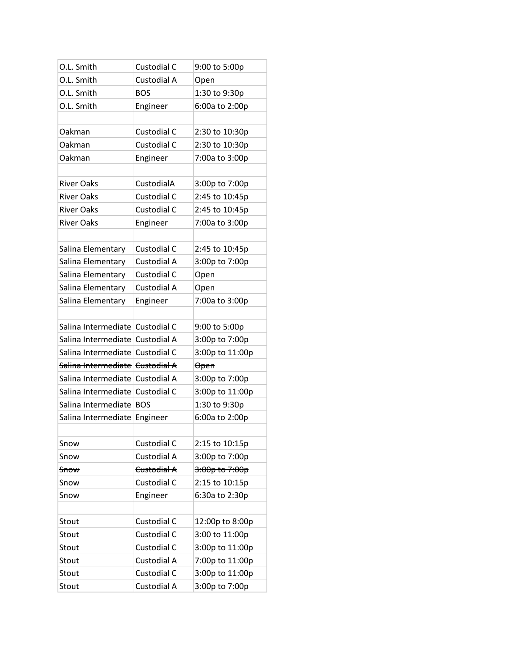| O.L. Smith                               | Custodial C           | 9:00 to 5:00p   |
|------------------------------------------|-----------------------|-----------------|
| O.L. Smith                               | Custodial A           | Open            |
| O.L. Smith                               | <b>BOS</b>            | 1:30 to 9:30p   |
| O.L. Smith                               | Engineer              | 6:00a to 2:00p  |
|                                          |                       |                 |
| Oakman                                   | Custodial C           | 2:30 to 10:30p  |
| Oakman                                   | Custodial C           | 2:30 to 10:30p  |
| Oakman                                   | Engineer              | 7:00a to 3:00p  |
|                                          |                       |                 |
| River Oaks                               | <del>CustodialA</del> | 3:00p to 7:00p  |
| <b>River Oaks</b>                        | Custodial C           | 2:45 to 10:45p  |
| <b>River Oaks</b>                        | Custodial C           | 2:45 to 10:45p  |
| <b>River Oaks</b>                        | Engineer              | 7:00a to 3:00p  |
|                                          |                       |                 |
| Salina Elementary                        | Custodial C           | 2:45 to 10:45p  |
| Salina Elementary                        | Custodial A           | 3:00p to 7:00p  |
| Salina Elementary                        | Custodial C           | Open            |
| Salina Elementary                        | Custodial A           | Open            |
| Salina Elementary                        | Engineer              | 7:00a to 3:00p  |
|                                          |                       |                 |
| Salina Intermediate Custodial C          |                       | 9:00 to 5:00p   |
| Salina Intermediate Custodial A          |                       | 3:00p to 7:00p  |
| Salina Intermediate Custodial C          |                       | 3:00p to 11:00p |
| <u>Salina Intermediate   Custodial A</u> |                       | <b>Open</b>     |
| Salina Intermediate Custodial A          |                       | 3:00p to 7:00p  |
| Salina Intermediate Custodial C          |                       | 3:00p to 11:00p |
| Salina Intermediate   BOS                |                       | 1:30 to 9:30p   |
| Salina Intermediate Engineer             |                       | 6:00a to 2:00p  |
|                                          |                       |                 |
| Snow                                     | Custodial C           | 2:15 to 10:15p  |
| Snow                                     | Custodial A           | 3:00p to 7:00p  |
| <del>Snow</del>                          | Custodial A           | 3:00p to 7:00p  |
| Snow                                     | Custodial C           | 2:15 to 10:15p  |
| Snow                                     | Engineer              | 6:30a to 2:30p  |
|                                          |                       |                 |
| Stout                                    | Custodial C           | 12:00p to 8:00p |
| Stout                                    | Custodial C           | 3:00 to 11:00p  |
| Stout                                    | Custodial C           | 3:00p to 11:00p |
| Stout                                    | Custodial A           | 7:00p to 11:00p |
| Stout                                    | Custodial C           | 3:00p to 11:00p |
| Stout                                    | Custodial A           | 3:00p to 7:00p  |